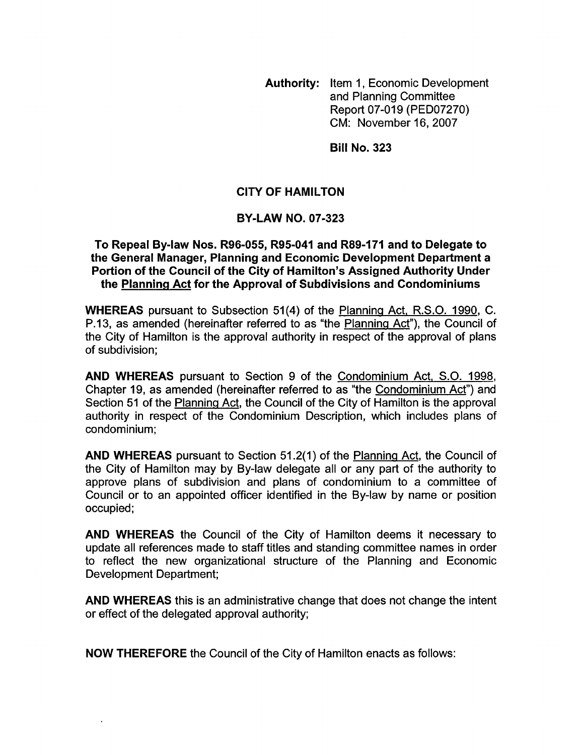**Authority:** Item 1, Economic Development and Planning Committee Report 07-019 (PED07270) CM: November 16,2007

**Bill No. 323** 

## **CITY OF HAMILTON**

### **BY-LAW NO. 07-323**

#### **To Repeal By-law Nos. R96-055, R95-041 and R89-I71 and to Delegate to the General Manager, Planning and Economic Development Department a Portion of the Council of the City of Hamilton's Assigned Authority Under the Planning Act for the Approval of Subdivisions and Condominiums**

**WHEREAS** pursuant to Subsection 51(4) of the Planning Act, R.S.O. 1990, C. P.13, as amended (hereinafter referred to as "the Planninq Act"), the Council of the City of Hamilton is the approval authority in respect of the approval of plans of subdivision;

**AND WHEREAS** pursuant to Section 9 of the Condominium Act, S.O. 1998, Chapter 19, as amended (hereinafter referred to as "the Condominium Act") and Section 51 of the Planninq Act, the Council of the City of Hamilton is the approval authority in respect of the Condominium Description, which includes plans of condominium :

**AND WHEREAS** pursuant to Section 51.2(1) of the Planning Act, the Council of the City of Hamilton may by By-law delegate all or any part of the authority to approve plans of subdivision and plans of condominium to a committee of Council or to an appointed officer identified in the By-law by name or position occupied;

**AND WHEREAS** the Council of the City of Hamilton deems it necessary to update all references made to staff titles and standing committee names in order to reflect the new organizational structure of the Planning and Economic Development Department;

**AND WHEREAS** this is an administrative change that does not change the intent or effect of the delegated approval authority;

**NOW THEREFORE** the Council of the City of Hamilton enacts as follows: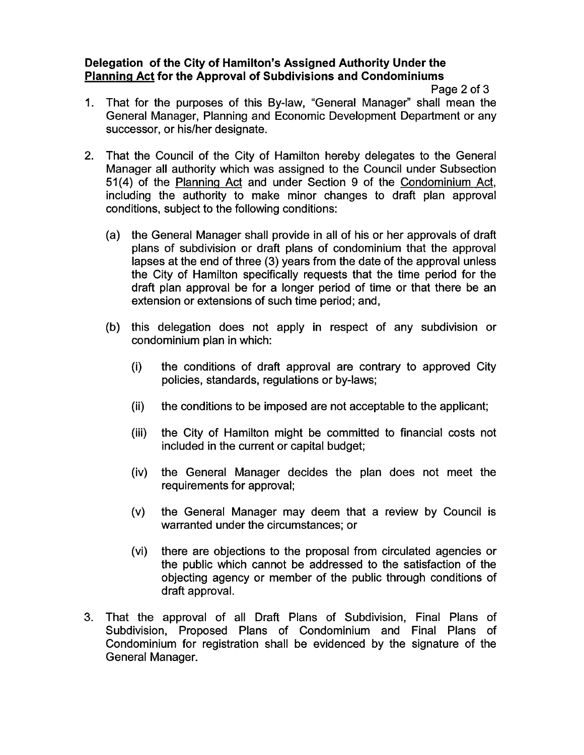## **Delegation of the City of Hamilton's Assigned Authority Under the Planning Act for the Approval of Subdivisions and Condominiums**

Page 2 of 3

- 1. That for the purposes of this By-law, "General Manager" shall mean the General Manager, Planning and Economic Development Department or any successor, or his/her designate.
- 2. That the Council of the City of Hamilton hereby delegates to the General Manager all authority which was assigned to the Council under Subsection **51(4)** of the Planning Act and under Section 9 of the Condominium Act, including the authority to make minor changes to draft plan approval conditions, subject to the following conditions:
	- (a) the General Manager shall provide in all of his or her approvals of draft plans of subdivision or draft plans of condominium that the approval lapses at the end of three (3) years from the date of the approval unless the City of Hamilton specifically requests that the time period for the draft plan approval be for a longer period of time or that there be an extension or extensions of such time period; and,
	- (b) this delegation does not apply in respect of any subdivision or condominium plan in which:
		- $(i)$ the conditions of draft approval are contrary to approved City policies, standards, regulations or by-laws;
		- $(ii)$ the conditions to be imposed are not acceptable to the applicant;
		- $(iii)$ the City of Hamilton might be committed to financial costs not included in the current or capital budget;
		- $(iv)$ the General Manager decides the plan does not meet the requirements for approval;
		- $(v)$ the General Manager may deem that a review by Council is warranted under the circumstances; or
		- there are objections to the proposal from circulated agencies or  $(vi)$ the public which cannot be addressed to the satisfaction of the objecting agency or member of the public through conditions of draft approval.
- 3. That the approval of all Draft Plans of Subdivision, Final Plans of Subdivision, Proposed Plans of Condominium and Final Plans of Condominium for registration shall be evidenced by the signature of the General Manager.